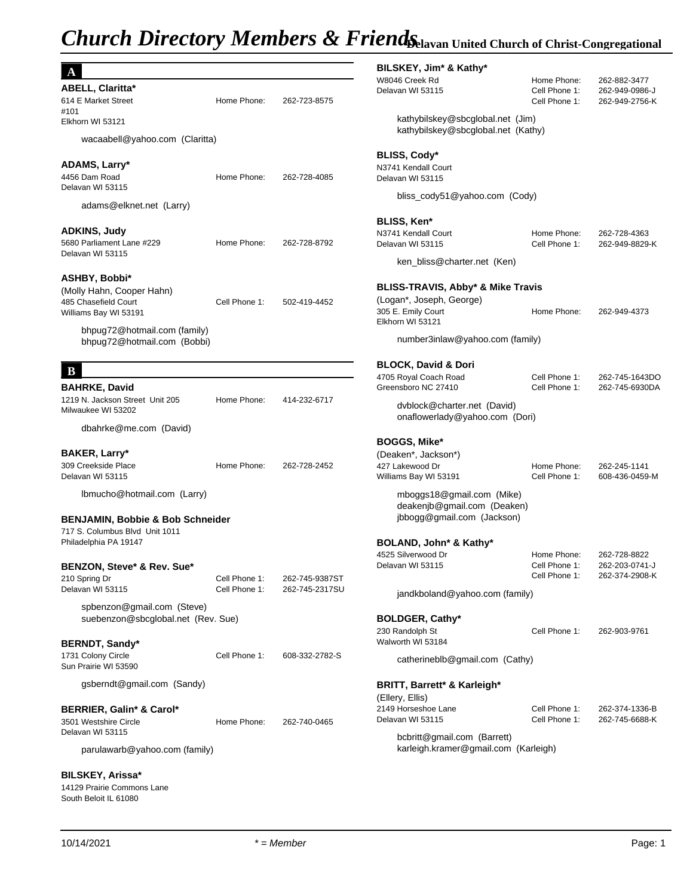# *Church Directory Members & FriendsChavan United Church of Christ-Congregational*

|                                                             |               |                | BILSKEY, Jim* &                           |
|-------------------------------------------------------------|---------------|----------------|-------------------------------------------|
| <b>ABELL, Claritta*</b>                                     |               |                | W8046 Creek Rd<br>Delavan WI 53115        |
| 614 E Market Street                                         | Home Phone:   | 262-723-8575   |                                           |
| #101                                                        |               |                |                                           |
| Elkhorn WI 53121                                            |               |                | kathybilskey@<br>kathybilskey@            |
| wacaabell@yahoo.com (Claritta)                              |               |                |                                           |
|                                                             |               |                | BLISS, Cody*                              |
| ADAMS, Larry*                                               |               |                | N3741 Kendall Court                       |
| 4456 Dam Road                                               | Home Phone:   | 262-728-4085   | Delavan WI 53115                          |
| Delavan WI 53115                                            |               |                |                                           |
| adams@elknet.net (Larry)                                    |               |                |                                           |
| <b>ADKINS, Judy</b>                                         |               |                | <b>BLISS, Ken*</b>                        |
| 5680 Parliament Lane #229                                   | Home Phone:   | 262-728-8792   | N3741 Kendall Court<br>Delavan WI 53115   |
| Delavan WI 53115                                            |               |                |                                           |
|                                                             |               |                | ken_bliss@ch                              |
| ASHBY, Bobbi*                                               |               |                | <b>BLISS-TRAVIS, A</b>                    |
| (Molly Hahn, Cooper Hahn)<br>485 Chasefield Court           | Cell Phone 1: | 502-419-4452   | (Logan*, Joseph, G                        |
| Williams Bay WI 53191                                       |               |                | 305 E. Emily Court                        |
|                                                             |               |                | Elkhorn WI 53121                          |
| bhpug72@hotmail.com (family)<br>bhpug72@hotmail.com (Bobbi) |               |                | number3inlaw                              |
|                                                             |               |                |                                           |
| B                                                           |               |                | <b>BLOCK, David &amp;</b>                 |
| <b>BAHRKE, David</b>                                        |               |                | 4705 Royal Coach Ro<br>Greensboro NC 2741 |
| 1219 N. Jackson Street Unit 205                             | Home Phone:   | 414-232-6717   |                                           |
| Milwaukee WI 53202                                          |               |                | dvblock@char                              |
| dbahrke@me.com (David)                                      |               |                | onaflowerlady                             |
|                                                             |               |                | <b>BOGGS, Mike*</b>                       |
| BAKER, Larry*                                               |               |                | (Deaken*, Jackson)                        |
| 309 Creekside Place                                         | Home Phone:   | 262-728-2452   | 427 Lakewood Dr                           |
| Delavan WI 53115                                            |               |                | Williams Bay WI 5319                      |
| Ibmucho@hotmail.com (Larry)                                 |               |                | mboggs18@g                                |
|                                                             |               |                | deakenjb@gm                               |
| <b>BENJAMIN, Bobbie &amp; Bob Schneider</b>                 |               |                | jbbogg@gmail                              |
| 717 S. Columbus Blvd Unit 1011<br>Philadelphia PA 19147     |               |                | <b>BOLAND, John*</b>                      |
|                                                             |               |                | 4525 Silverwood Dr                        |
| BENZON, Steve* & Rev. Sue*                                  |               |                | Delavan WI 53115                          |
| 210 Spring Dr                                               | Cell Phone 1: | 262-745-9387ST |                                           |
| Delavan WI 53115                                            | Cell Phone 1: | 262-745-2317SU | jandkboland@                              |
| spbenzon@gmail.com (Steve)                                  |               |                |                                           |
| suebenzon@sbcglobal.net (Rev. Sue)                          |               |                | <b>BOLDGER, Cathy</b>                     |
|                                                             |               |                | 230 Randolph St                           |
| <b>BERNDT, Sandy*</b>                                       |               |                | Walworth WI 53184                         |
| 1731 Colony Circle                                          | Cell Phone 1: | 608-332-2782-S | catherineblb@                             |
| Sun Prairie WI 53590                                        |               |                |                                           |
| gsberndt@gmail.com (Sandy)                                  |               |                | <b>BRITT, Barrett* &amp;</b>              |
|                                                             |               |                | (Ellery, Ellis)                           |
| BERRIER, Galin* & Carol*                                    |               |                | 2149 Horseshoe Lane                       |
| 3501 Westshire Circle<br>Delavan WI 53115                   | Home Phone:   | 262-740-0465   | Delavan WI 53115                          |
|                                                             |               |                | bcbritt@gmail.                            |
| parulawarb@yahoo.com (family)                               |               |                | karleigh.krame                            |
| <b>BILSKEY, Arissa*</b>                                     |               |                |                                           |
| 14129 Prairie Commons Lane                                  |               |                |                                           |

## 10/14/2021 *\* = Member* Page: 1

South Beloit IL 61080

### **BILSKEY, Jim\* & Kathy\***

| W8046 Creek Rd<br>Delavan WI 53115                                                     | Home Phone:<br>Cell Phone 1:<br>Cell Phone 1: | 262-882-3477<br>262-949-0986-J<br>262-949-2756-K |
|----------------------------------------------------------------------------------------|-----------------------------------------------|--------------------------------------------------|
| kathybilskey@sbcglobal.net (Jim)<br>kathybilskey@sbcglobal.net (Kathy)                 |                                               |                                                  |
| BLISS, Cody*                                                                           |                                               |                                                  |
| N3741 Kendall Court<br>Delavan WI 53115                                                |                                               |                                                  |
| bliss_cody51@yahoo.com (Cody)                                                          |                                               |                                                  |
| BLISS, Ken*                                                                            |                                               |                                                  |
| N3741 Kendall Court<br>Delavan WI 53115                                                | Home Phone:<br>Cell Phone 1:                  | 262-728-4363<br>262-949-8829-K                   |
| ken_bliss@charter.net (Ken)                                                            |                                               |                                                  |
| BLISS-TRAVIS, Abby* & Mike Travis                                                      |                                               |                                                  |
| (Logan*, Joseph, George)<br>305 E. Emily Court<br>Elkhorn WI 53121                     | Home Phone:                                   | 262-949-4373                                     |
| number3inlaw@yahoo.com (family)                                                        |                                               |                                                  |
| BLOCK, David & Dori                                                                    |                                               |                                                  |
| 4705 Royal Coach Road<br>Greensboro NC 27410                                           | Cell Phone 1:<br>Cell Phone 1:                | 262-745-1643DO<br>262-745-6930DA                 |
| dvblock@charter.net (David)<br>onaflowerlady@yahoo.com (Dori)                          |                                               |                                                  |
| BOGGS, Mike*                                                                           |                                               |                                                  |
| (Deaken*, Jackson*)                                                                    |                                               |                                                  |
| 427 Lakewood Dr<br>Williams Bay WI 53191                                               | Home Phone:<br>Cell Phone 1:                  | 262-245-1141<br>608-436-0459-M                   |
| mboggs18@gmail.com (Mike)<br>deakenjb@gmail.com (Deaken)<br>jbbogg@gmail.com (Jackson) |                                               |                                                  |
| BOLAND, John* & Kathy*                                                                 |                                               |                                                  |
| 4525 Silverwood Dr<br>Delavan WI 53115                                                 | Home Phone:<br>Cell Phone 1:<br>Cell Phone 1: | 262-728-8822<br>262-203-0741-J<br>262-374-2908-K |
| jandkboland@yahoo.com (family)                                                         |                                               |                                                  |
| <b>BOLDGER, Cathy*</b>                                                                 |                                               |                                                  |
| 230 Randolph St<br>Walworth WI 53184                                                   | Cell Phone 1:                                 | 262-903-9761                                     |
| catherineblb@gmail.com (Cathy)                                                         |                                               |                                                  |
| BRITT, Barrett* & Karleigh*                                                            |                                               |                                                  |
| (Ellery, Ellis)<br>2149 Horseshoe Lane<br>Delavan WI 53115                             | Cell Phone 1:<br>Cell Phone 1:                | 262-374-1336-B<br>262-745-6688-K                 |
| bcbritt@gmail.com (Barrett)<br>karleigh.kramer@gmail.com (Karleigh)                    |                                               |                                                  |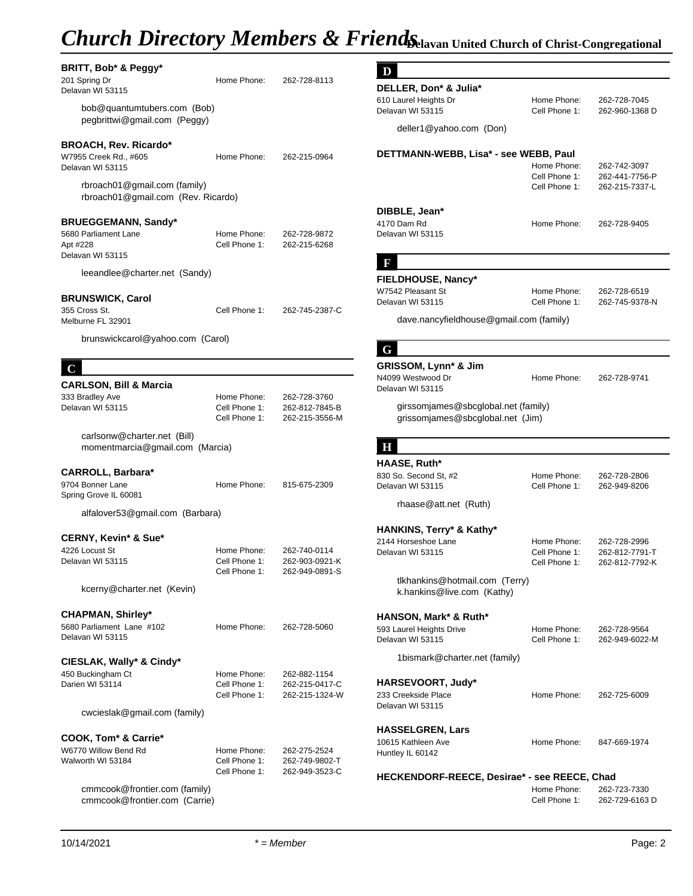# **Church Directory Members & Friends***Chavan United Church of Christ-Congregational*

| BRITT, Bob* & Peggy*<br>201 Spring Dr<br>Delavan WI 53115                          | Home Phone:                                   | 262-728-8113                                     | D<br>DELLER, Don* & Julia*                                              |                                |                                  |
|------------------------------------------------------------------------------------|-----------------------------------------------|--------------------------------------------------|-------------------------------------------------------------------------|--------------------------------|----------------------------------|
| bob@quantumtubers.com (Bob)<br>pegbrittwi@gmail.com (Peggy)                        |                                               |                                                  | 610 Laurel Heights Dr<br>Delavan WI 53115                               | Home Phone:<br>Cell Phone 1:   | 262-728-7045<br>262-960-1368 D   |
|                                                                                    |                                               |                                                  | deller1@yahoo.com (Don)                                                 |                                |                                  |
| <b>BROACH, Rev. Ricardo*</b><br>W7955 Creek Rd., #605<br>Delavan WI 53115          | Home Phone:                                   | 262-215-0964                                     | DETTMANN-WEBB, Lisa* - see WEBB, Paul                                   | Home Phone:                    | 262-742-3097                     |
| rbroach01@gmail.com (family)<br>rbroach01@gmail.com (Rev. Ricardo)                 |                                               |                                                  |                                                                         | Cell Phone 1:<br>Cell Phone 1: | 262-441-7756-P<br>262-215-7337-L |
|                                                                                    |                                               |                                                  | DIBBLE, Jean*                                                           |                                |                                  |
| <b>BRUEGGEMANN, Sandy*</b><br>5680 Parliament Lane<br>Apt #228<br>Delavan WI 53115 | Home Phone:<br>Cell Phone 1:                  | 262-728-9872<br>262-215-6268                     | 4170 Dam Rd<br>Delavan WI 53115                                         | Home Phone:                    | 262-728-9405                     |
| leeandlee@charter.net (Sandy)                                                      |                                               |                                                  | F                                                                       |                                |                                  |
|                                                                                    |                                               |                                                  | FIELDHOUSE, Nancy*<br>W7542 Pleasant St                                 | Home Phone:                    |                                  |
| <b>BRUNSWICK, Carol</b>                                                            |                                               |                                                  | Delavan WI 53115                                                        | Cell Phone 1:                  | 262-728-6519<br>262-745-9378-N   |
| 355 Cross St.<br>Melburne FL 32901                                                 | Cell Phone 1:                                 | 262-745-2387-C                                   | dave.nancyfieldhouse@gmail.com (family)                                 |                                |                                  |
| brunswickcarol@yahoo.com (Carol)                                                   |                                               |                                                  | G                                                                       |                                |                                  |
| $\mathbf C$                                                                        |                                               |                                                  | GRISSOM, Lynn* & Jim                                                    |                                |                                  |
| <b>CARLSON, Bill &amp; Marcia</b>                                                  |                                               |                                                  | N4099 Westwood Dr                                                       | Home Phone:                    | 262-728-9741                     |
| 333 Bradley Ave                                                                    | Home Phone:                                   | 262-728-3760                                     | Delavan WI 53115                                                        |                                |                                  |
| Delavan WI 53115                                                                   | Cell Phone 1:<br>Cell Phone 1:                | 262-812-7845-B<br>262-215-3556-M                 | girssomjames@sbcglobal.net (family)<br>grissomjames@sbcglobal.net (Jim) |                                |                                  |
| carlsonw@charter.net (Bill)<br>momentmarcia@gmail.com (Marcia)                     |                                               |                                                  | н                                                                       |                                |                                  |
|                                                                                    |                                               |                                                  | HAASE, Ruth*                                                            |                                |                                  |
| <b>CARROLL, Barbara*</b><br>9704 Bonner Lane<br>Spring Grove IL 60081              | Home Phone:                                   | 815-675-2309                                     | 830 So. Second St, #2<br>Delavan WI 53115                               | Home Phone:<br>Cell Phone 1:   | 262-728-2806<br>262-949-8206     |
| alfalover53@gmail.com (Barbara)                                                    |                                               |                                                  | rhaase@att.net (Ruth)                                                   |                                |                                  |
|                                                                                    |                                               |                                                  | HANKINS, Terry* & Kathy*                                                |                                |                                  |
| <b>CERNY, Kevin* &amp; Sue*</b>                                                    |                                               |                                                  | 2144 Horseshoe Lane                                                     | Home Phone:                    | 262-728-2996                     |
| 4226 Locust St<br>Delavan WI 53115                                                 | Home Phone:<br>Cell Phone 1:<br>Cell Phone 1: | 262-740-0114<br>262-903-0921-K<br>262-949-0891-S | Delavan WI 53115                                                        | Cell Phone 1:<br>Cell Phone 1: | 262-812-7791-T<br>262-812-7792-K |
| kcerny@charter.net (Kevin)                                                         |                                               |                                                  | tlkhankins@hotmail.com (Terry)<br>k.hankins@live.com (Kathy)            |                                |                                  |
| <b>CHAPMAN, Shirley*</b>                                                           |                                               |                                                  | HANSON, Mark* & Ruth*                                                   |                                |                                  |
| 5680 Parliament Lane #102<br>Delavan WI 53115                                      | Home Phone:                                   | 262-728-5060                                     | 593 Laurel Heights Drive<br>Delavan WI 53115                            | Home Phone:<br>Cell Phone 1:   | 262-728-9564<br>262-949-6022-M   |
| CIESLAK, Wally* & Cindy*                                                           |                                               |                                                  | 1bismark@charter.net (family)                                           |                                |                                  |
| 450 Buckingham Ct                                                                  | Home Phone:                                   | 262-882-1154                                     |                                                                         |                                |                                  |
| Darien WI 53114                                                                    | Cell Phone 1:<br>Cell Phone 1:                | 262-215-0417-C<br>262-215-1324-W                 | HARSEVOORT, Judy*<br>233 Creekside Place<br>Delavan WI 53115            | Home Phone:                    | 262-725-6009                     |
| cwcieslak@gmail.com (family)                                                       |                                               |                                                  |                                                                         |                                |                                  |
| <b>COOK, Tom* &amp; Carrie*</b>                                                    |                                               |                                                  | <b>HASSELGREN, Lars</b><br>10615 Kathleen Ave                           | Home Phone:                    | 847-669-1974                     |
| W6770 Willow Bend Rd<br>Walworth WI 53184                                          | Home Phone:<br>Cell Phone 1:<br>Cell Phone 1: | 262-275-2524<br>262-749-9802-T<br>262-949-3523-C | Huntley IL 60142                                                        |                                |                                  |
|                                                                                    |                                               |                                                  | HECKENDORF-REECE, Desirae* - see REECE, Chad                            |                                |                                  |
| cmmcook@frontier.com (family)<br>cmmcook@frontier.com (Carrie)                     |                                               |                                                  |                                                                         | Home Phone:<br>Cell Phone 1:   | 262-723-7330<br>262-729-6163 D   |

| 262-728-8113                   | I)                                      |               |                |
|--------------------------------|-----------------------------------------|---------------|----------------|
|                                | DELLER, Don* & Julia*                   |               |                |
|                                | 610 Laurel Heights Dr                   | Home Phone:   | 262-728-7045   |
|                                | Delavan WI 53115                        | Cell Phone 1: | 262-960-1368 D |
|                                | deller1@yahoo.com (Don)                 |               |                |
| 262-215-0964                   | DETTMANN-WEBB, Lisa* - see WEBB, Paul   |               |                |
|                                |                                         | Home Phone:   | 262-742-3097   |
|                                |                                         | Cell Phone 1: | 262-441-7756-P |
|                                |                                         | Cell Phone 1: | 262-215-7337-L |
|                                | DIBBLE, Jean*                           |               |                |
|                                | 4170 Dam Rd                             | Home Phone:   | 262-728-9405   |
| 262-728-9872<br>262-215-6268   | Delavan WI 53115                        |               |                |
|                                | F                                       |               |                |
|                                | FIELDHOUSE, Nancy*                      |               |                |
|                                | W7542 Pleasant St                       | Home Phone:   | 262-728-6519   |
|                                | Delavan WI 53115                        | Cell Phone 1: | 262-745-9378-N |
| 262-745-2387-C                 | dave.nancyfieldhouse@gmail.com (family) |               |                |
|                                |                                         |               |                |
|                                | G                                       |               |                |
|                                | GRISSOM, Lynn* & Jim                    |               |                |
|                                | N4099 Westwood Dr                       | Home Phone:   | 262-728-9741   |
|                                | Delavan WI 53115                        |               |                |
| 262-728-3760<br>262-812-7845-B | girssomjames@sbcglobal.net (family)     |               |                |
| 262-215-3556-M                 | grissomjames@sbcglobal.net (Jim)        |               |                |
|                                |                                         |               |                |
|                                | Η                                       |               |                |
|                                | HAASE, Ruth*                            |               |                |
| 815-675-2309                   | 830 So. Second St, #2                   | Home Phone:   | 262-728-2806   |
|                                | Delavan WI 53115                        | Cell Phone 1: | 262-949-8206   |
|                                | rhaase@att.net (Ruth)                   |               |                |
|                                | HANKINS, Terry* & Kathy*                |               |                |
|                                | 2144 Horseshoe Lane                     | Home Phone:   | 262-728-2996   |
| 262-740-0114                   | Delavan WI 53115                        | Cell Phone 1: | 262-812-7791-T |
| 262-903-0921-K                 |                                         | Cell Phone 1: | 262-812-7792-K |
| 262-949-0891-S                 | tlkhankins@hotmail.com (Terry)          |               |                |
|                                | k.hankins@live.com (Kathy)              |               |                |
|                                | HANSON, Mark* & Ruth*                   |               |                |
| 262-728-5060                   | 593 Laurel Heights Drive                | Home Phone:   | 262-728-9564   |
|                                | Delavan WI 53115                        | Cell Phone 1: | 262-949-6022-M |
|                                | 1bismark@charter.net (family)           |               |                |
| 262-882-1154                   |                                         |               |                |
| 262-215-0417-C                 | HARSEVOORT, Judy*                       |               |                |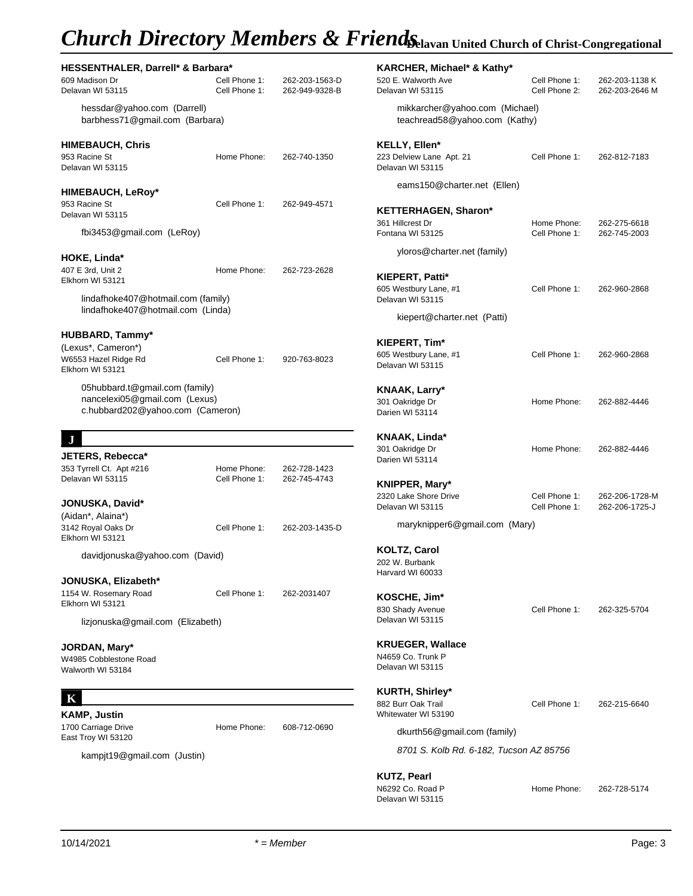# *Church Directory Members & Friends***Delavan United Church of Christ-Congregational**

| HESSENTHALER, Darrell* & Barbara*<br>609 Madison Dr<br>Delavan WI 53115                             | Cell Phone 1:<br>Cell Phone 1: | 262-203-1563-D<br>262-949-9328-B | <b>KARCHER, Mich</b><br>520 E. Walworth Ave<br>Delavan WI 53115 |
|-----------------------------------------------------------------------------------------------------|--------------------------------|----------------------------------|-----------------------------------------------------------------|
| hessdar@yahoo.com (Darrell)<br>barbhess71@gmail.com (Barbara)                                       |                                |                                  | mikkarcher@<br>teachread580                                     |
| <b>HIMEBAUCH, Chris</b><br>953 Racine St<br>Delavan WI 53115                                        | Home Phone:                    | 262-740-1350                     | KELLY, Ellen*<br>223 Delview Lane Ap<br>Delavan WI 53115        |
| <b>HIMEBAUCH, LeRoy*</b><br>953 Racine St<br>Delavan WI 53115                                       | Cell Phone 1:                  | 262-949-4571                     | eams150@ch<br><b>KETTERHAGEN,</b>                               |
| fbi3453@gmail.com (LeRoy)                                                                           |                                |                                  | 361 Hillcrest Dr<br>Fontana WI 53125                            |
| HOKE, Linda*                                                                                        |                                |                                  | yloros@chart                                                    |
| 407 E 3rd, Unit 2<br>Elkhorn WI 53121                                                               | Home Phone:                    | 262-723-2628                     | <b>KIEPERT, Patti*</b><br>605 Westbury Lane,                    |
| lindafhoke407@hotmail.com (family)<br>lindafhoke407@hotmail.com (Linda)                             |                                |                                  | Delavan WI 53115<br>kiepert@char                                |
| <b>HUBBARD, Tammy*</b>                                                                              |                                |                                  |                                                                 |
| (Lexus*, Cameron*)<br>W6553 Hazel Ridge Rd<br>Elkhorn WI 53121                                      | Cell Phone 1:                  | 920-763-8023                     | KIEPERT, Tim*<br>605 Westbury Lane, a<br>Delavan WI 53115       |
| 05hubbard.t@gmail.com (family)<br>nancelexi05@gmail.com (Lexus)<br>c.hubbard202@yahoo.com (Cameron) |                                |                                  | KNAAK, Larry*<br>301 Oakridge Dr<br>Darien WI 53114             |
| J                                                                                                   |                                |                                  | KNAAK, Linda*                                                   |
| JETERS, Rebecca*<br>353 Tyrrell Ct. Apt #216                                                        | Home Phone:                    | 262-728-1423                     | 301 Oakridge Dr<br>Darien WI 53114                              |
| Delavan WI 53115<br>JONUSKA, David*                                                                 | Cell Phone 1:                  | 262-745-4743                     | <b>KNIPPER, Mary*</b><br>2320 Lake Shore Driv                   |
| (Aidan*, Alaina*)                                                                                   |                                |                                  | Delavan WI 53115                                                |
| 3142 Royal Oaks Dr<br>Elkhorn WI 53121                                                              | Cell Phone 1:                  | 262-203-1435-D                   | maryknipper6                                                    |
| davidjonuska@yahoo.com (David)                                                                      |                                |                                  | <b>KOLTZ, Carol</b><br>202 W. Burbank<br>Harvard WI 60033       |
| JONUSKA, Elizabeth*                                                                                 |                                |                                  |                                                                 |
| 1154 W. Rosemary Road<br>Elkhorn WI 53121                                                           | Cell Phone 1:                  | 262-2031407                      | KOSCHE, Jim*<br>830 Shady Avenue<br>Delavan WI 53115            |
| lizjonuska@gmail.com (Elizabeth)                                                                    |                                |                                  |                                                                 |
| JORDAN, Mary*<br>W4985 Cobblestone Road<br>Walworth WI 53184                                        |                                |                                  | <b>KRUEGER, Walla</b><br>N4659 Co. Trunk P<br>Delavan WI 53115  |
|                                                                                                     |                                |                                  | <b>KURTH, Shirley*</b>                                          |
| <b>KAMP, Justin</b>                                                                                 |                                |                                  | 882 Burr Oak Trail<br>Whitewater WI 53190                       |
| 1700 Carriage Drive<br>East Troy WI 53120                                                           | Home Phone:                    | 608-712-0690                     | dkurth56@gm                                                     |
| kampjt19@gmail.com (Justin)                                                                         |                                |                                  | 8701 S. Kolb                                                    |

|                                                                       |                                | --- <del>-</del> -- <b>-</b> ------ |
|-----------------------------------------------------------------------|--------------------------------|-------------------------------------|
| KARCHER, Michael* & Kathy*<br>520 E. Walworth Ave<br>Delavan WI 53115 | Cell Phone 1:<br>Cell Phone 2: | 262-203-1138 K<br>262-203-2646 M    |
| mikkarcher@yahoo.com (Michael)<br>teachread58@yahoo.com (Kathy)       |                                |                                     |
| KELLY, Ellen*<br>223 Delview Lane Apt. 21<br>Delavan WI 53115         | Cell Phone 1:                  | 262-812-7183                        |
| eams150@charter.net (Ellen)                                           |                                |                                     |
| <b>KETTERHAGEN, Sharon*</b>                                           |                                |                                     |
| 361 Hillcrest Dr<br>Fontana WI 53125                                  | Home Phone:<br>Cell Phone 1:   | 262-275-6618<br>262-745-2003        |
| yloros@charter.net (family)                                           |                                |                                     |
| KIEPERT, Patti*<br>605 Westbury Lane, #1<br>Delavan WI 53115          | Cell Phone 1:                  | 262-960-2868                        |
| kiepert@charter.net (Patti)                                           |                                |                                     |
| KIEPERT, Tim*<br>605 Westbury Lane, #1<br>Delavan WI 53115            | Cell Phone 1:                  | 262-960-2868                        |
| KNAAK, Larry*<br>301 Oakridge Dr<br>Darien WI 53114                   | Home Phone:                    | 262-882-4446                        |
| KNAAK, Linda*<br>301 Oakridge Dr<br>Darien WI 53114                   | Home Phone:                    | 262-882-4446                        |
| KNIPPER, Mary*                                                        |                                |                                     |
| 2320 Lake Shore Drive<br>Delavan WI 53115                             | Cell Phone 1:<br>Cell Phone 1: | 262-206-1728-M<br>262-206-1725-J    |
| maryknipper6@gmail.com (Mary)                                         |                                |                                     |
| <b>KOLTZ, Carol</b><br>202 W. Burbank<br>Harvard WI 60033             |                                |                                     |
| KOSCHE, Jim*<br>830 Shady Avenue<br>Delavan WI 53115                  | Cell Phone 1:                  | 262-325-5704                        |
| <b>KRUEGER, Wallace</b><br>N4659 Co. Trunk P<br>Delavan WI 53115      |                                |                                     |
| <b>KURTH, Shirley*</b><br>882 Burr Oak Trail<br>Whitewater WI 53190   | Cell Phone 1:                  | 262-215-6640                        |
| dkurth56@gmail.com (family)                                           |                                |                                     |
| 8701 S. Kolb Rd. 6-182, Tucson AZ 85756                               |                                |                                     |
| <b>KUTZ, Pearl</b>                                                    |                                |                                     |

N6292 Co. Road P

Delavan WI 53115

Home Phone: 262-728-5174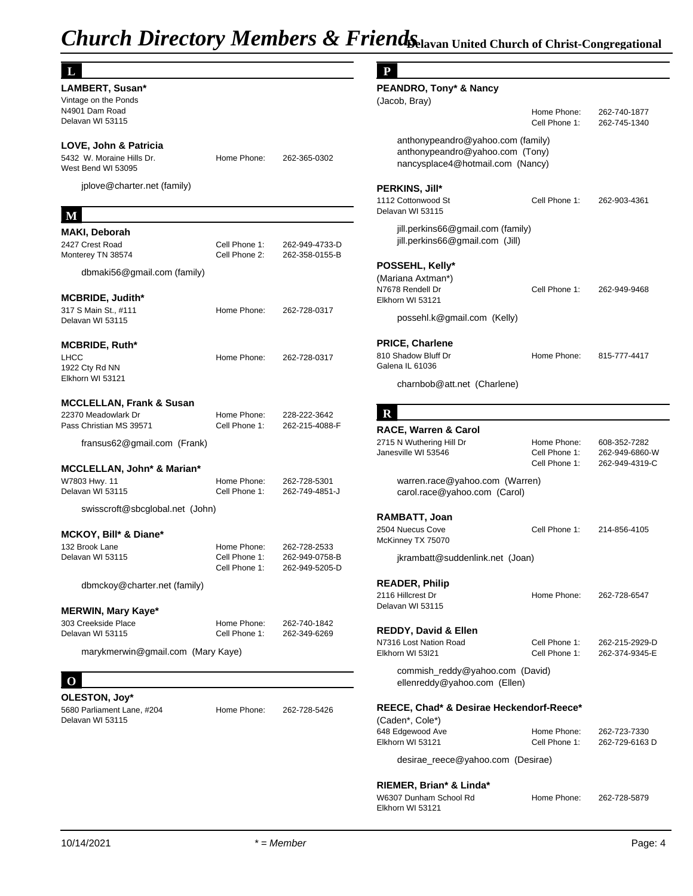| IJ                                                                                                 |                                               |                                                  | P                                                                         |
|----------------------------------------------------------------------------------------------------|-----------------------------------------------|--------------------------------------------------|---------------------------------------------------------------------------|
| LAMBERT, Susan*<br>Vintage on the Ponds<br>N4901 Dam Road<br>Delavan WI 53115                      |                                               |                                                  | PEANDRO, Tony<br>(Jacob, Bray)                                            |
| LOVE, John & Patricia<br>5432 W. Moraine Hills Dr.<br>West Bend WI 53095                           | Home Phone:                                   | 262-365-0302                                     | anthonypeano<br>anthonypeand<br>nancysplace4                              |
| jplove@charter.net (family)                                                                        |                                               |                                                  | PERKINS, Jill*<br>1112 Cottonwood St                                      |
| M                                                                                                  |                                               |                                                  | Delavan WI 53115                                                          |
| <b>MAKI, Deborah</b><br>2427 Crest Road<br>Monterey TN 38574                                       | Cell Phone 1:<br>Cell Phone 2:                | 262-949-4733-D<br>262-358-0155-B                 | jill.perkins66@<br>jill.perkins66@                                        |
| dbmaki56@gmail.com (family)                                                                        |                                               |                                                  | POSSEHL, Kelly<br>(Mariana Axtman*)<br>N7678 Rendell Dr                   |
| <b>MCBRIDE, Judith*</b><br>317 S Main St., #111<br>Delavan WI 53115                                | Home Phone:                                   | 262-728-0317                                     | Elkhorn WI 53121<br>possehl.k@gr                                          |
| <b>MCBRIDE, Ruth*</b><br>LHCC<br>1922 Cty Rd NN                                                    | Home Phone:                                   | 262-728-0317                                     | <b>PRICE, Charlene</b><br>810 Shadow Bluff Dr<br>Galena IL 61036          |
| Elkhorn WI 53121                                                                                   |                                               |                                                  | charnbob@at                                                               |
| <b>MCCLELLAN, Frank &amp; Susan</b>                                                                |                                               |                                                  |                                                                           |
| 22370 Meadowlark Dr<br>Pass Christian MS 39571                                                     | Home Phone:<br>Cell Phone 1:                  | 228-222-3642<br>262-215-4088-F                   | R                                                                         |
| fransus62@gmail.com (Frank)                                                                        |                                               |                                                  | <b>RACE, Warren &amp;</b><br>2715 N Wuthering Hi<br>Janesville WI 53546   |
| <b>MCCLELLAN, John* &amp; Marian*</b>                                                              |                                               |                                                  |                                                                           |
| W7803 Hwy. 11<br>Delavan WI 53115                                                                  | Home Phone:<br>Cell Phone 1:                  | 262-728-5301<br>262-749-4851-J                   | warren.race@<br>carol.race@ya                                             |
| swisscroft@sbcglobal.net (John)<br>MCKOY, Bill* & Diane*                                           |                                               |                                                  | RAMBATT, Joan<br>2504 Nuecus Cove<br>McKinney TX 75070                    |
| 132 Brook Lane<br>Delavan WI 53115                                                                 | Home Phone:<br>Cell Phone 1:<br>Cell Phone 1: | 262-728-2533<br>262-949-0758-B<br>262-949-5205-D | jkrambatt@su                                                              |
| dbmckoy@charter.net (family)                                                                       |                                               |                                                  | <b>READER, Philip</b><br>2116 Hillcrest Dr<br>Delavan WI 53115            |
| MERWIN, Mary Kaye*<br>303 Creekside Place<br>Delavan WI 53115<br>marykmerwin@gmail.com (Mary Kaye) | Home Phone:<br>Cell Phone 1:                  | 262-740-1842<br>262-349-6269                     | REDDY, David &<br>N7316 Lost Nation R<br>Elkhorn WI 53I21                 |
| $\bf o$                                                                                            |                                               |                                                  | commish_red<br>ellenreddy@y                                               |
| OLESTON, Joy*                                                                                      |                                               |                                                  |                                                                           |
| 5680 Parliament Lane, #204<br>Delavan WI 53115                                                     | Home Phone:                                   | 262-728-5426                                     | REECE, Chad* &<br>(Caden*, Cole*)<br>648 Edgewood Ave<br>Elkhorn WI 53121 |
|                                                                                                    |                                               |                                                  | desirae_reece                                                             |
|                                                                                                    |                                               |                                                  | RIEMER, Brian*<br>W6307 Dunham Sch                                        |

## **P**

| PEANDRO, Tony* & Nancy<br>(Jacob, Bray)                                                                  |                                               |                                                  |
|----------------------------------------------------------------------------------------------------------|-----------------------------------------------|--------------------------------------------------|
|                                                                                                          | Home Phone:<br>Cell Phone 1:                  | 262-740-1877<br>262-745-1340                     |
| anthonypeandro@yahoo.com (family)<br>anthonypeandro@yahoo.com (Tony)<br>nancysplace4@hotmail.com (Nancy) |                                               |                                                  |
| <b>PERKINS, Jill*</b><br>1112 Cottonwood St<br>Delavan WI 53115                                          | Cell Phone 1:                                 | 262-903-4361                                     |
| jill.perkins66@gmail.com (family)<br>jill.perkins66@gmail.com (Jill)                                     |                                               |                                                  |
| POSSEHL, Kelly*                                                                                          |                                               |                                                  |
| (Mariana Axtman*)<br>N7678 Rendell Dr<br>Elkhorn WI 53121                                                | Cell Phone 1:                                 | 262-949-9468                                     |
| possehl.k@gmail.com (Kelly)                                                                              |                                               |                                                  |
| <b>PRICE, Charlene</b>                                                                                   |                                               |                                                  |
| 810 Shadow Bluff Dr<br>Galena IL 61036                                                                   | Home Phone:                                   | 815-777-4417                                     |
| charnbob@att.net (Charlene)                                                                              |                                               |                                                  |
| $\mathbf R$                                                                                              |                                               |                                                  |
| RACE, Warren & Carol                                                                                     |                                               |                                                  |
| 2715 N Wuthering Hill Dr<br>Janesville WI 53546                                                          | Home Phone:<br>Cell Phone 1:<br>Cell Phone 1: | 608-352-7282<br>262-949-6860-W<br>262-949-4319-C |
| warren.race@yahoo.com (Warren)<br>carol.race@yahoo.com (Carol)                                           |                                               |                                                  |
| RAMBATT, Joan                                                                                            |                                               |                                                  |
| 2504 Nuecus Cove<br>McKinney TX 75070                                                                    | Cell Phone 1:                                 | 214-856-4105                                     |
| jkrambatt@suddenlink.net (Joan)                                                                          |                                               |                                                  |
| <b>READER, Philip</b>                                                                                    |                                               |                                                  |
| 2116 Hillcrest Dr<br>Delavan WI 53115                                                                    | Home Phone:                                   | 262-728-6547                                     |
| REDDY, David & Ellen                                                                                     |                                               |                                                  |
| N7316 Lost Nation Road<br>Elkhorn WI 53I21                                                               | Cell Phone 1:<br>Cell Phone 1:                | 262-215-2929-D<br>262-374-9345-E                 |
| commish_reddy@yahoo.com (David)<br>ellenreddy@yahoo.com (Ellen)                                          |                                               |                                                  |
| REECE, Chad* & Desirae Heckendorf-Reece*                                                                 |                                               |                                                  |
| (Caden*, Cole*)<br>648 Edgewood Ave                                                                      | Home Phone:                                   | 262-723-7330                                     |
| Elkhorn WI 53121                                                                                         | Cell Phone 1:                                 | 262-729-6163 D                                   |
| desirae_reece@yahoo.com (Desirae)                                                                        |                                               |                                                  |
| RIEMER, Brian* & Linda*                                                                                  | D.L                                           | 000.700.5070                                     |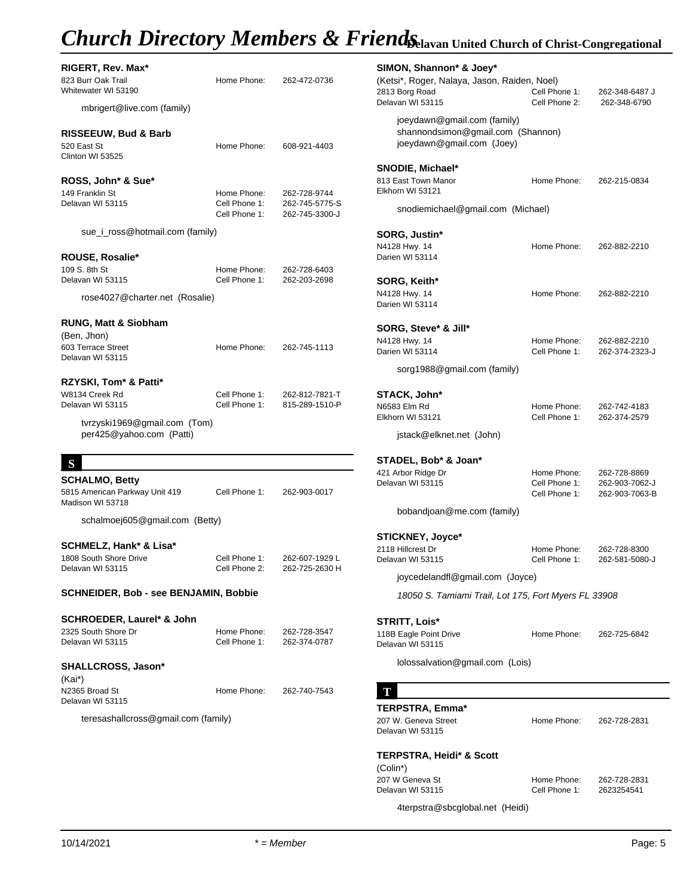## *Church Directory Members & FriendsChavan United Church of Christ-Congregational*

| RIGERT, Rev. Max*<br>823 Burr Oak Trail<br>Whitewater WI 53190<br>mbrigert@live.com (family) | Home Phone:                    | 262-472-0736                     | <b>SIMON, Shannor</b><br>(Ketsi*, Roger, Nal<br>2813 Borg Road<br>Delavan WI 53115 |
|----------------------------------------------------------------------------------------------|--------------------------------|----------------------------------|------------------------------------------------------------------------------------|
| <b>RISSEEUW, Bud &amp; Barb</b><br>520 East St                                               | Home Phone:                    | 608-921-4403                     | joeydawn@gr<br>shannondsim<br>joeydawn@gr                                          |
| Clinton WI 53525<br>ROSS, John* & Sue*<br>149 Franklin St                                    | Home Phone:                    | 262-728-9744                     | <b>SNODIE, Michae</b><br>813 East Town Mand<br>Elkhorn WI 53121                    |
| Delavan WI 53115                                                                             | Cell Phone 1:<br>Cell Phone 1: | 262-745-5775-S<br>262-745-3300-J | snodiemichae                                                                       |
| sue_i_ross@hotmail.com (family)                                                              |                                |                                  | SORG, Justin*<br>N4128 Hwy. 14                                                     |
| <b>ROUSE, Rosalie*</b>                                                                       |                                |                                  | Darien WI 53114                                                                    |
| 109 S. 8th St<br>Delavan WI 53115                                                            | Home Phone:<br>Cell Phone 1:   | 262-728-6403<br>262-203-2698     | SORG, Keith*                                                                       |
| rose4027@charter.net (Rosalie)                                                               |                                |                                  | N4128 Hwy. 14<br>Darien WI 53114                                                   |
| RUNG, Matt & Siobham<br>(Ben, Jhon)                                                          |                                |                                  | SORG, Steve* &                                                                     |
| 603 Terrace Street<br>Delavan WI 53115                                                       | Home Phone:                    | 262-745-1113                     | N4128 Hwy. 14<br>Darien WI 53114                                                   |
| RZYSKI, Tom* & Patti*                                                                        |                                |                                  | sorg1988@gr                                                                        |
| W8134 Creek Rd<br>Delavan WI 53115                                                           | Cell Phone 1:<br>Cell Phone 1: | 262-812-7821-T<br>815-289-1510-P | STACK, John*<br>N6583 Elm Rd<br>Elkhorn WI 53121                                   |
| tvrzyski1969@gmail.com (Tom)<br>per425@yahoo.com (Patti)                                     |                                |                                  | jstack@elkne                                                                       |
| S                                                                                            |                                |                                  | STADEL, Bob* &                                                                     |
| <b>SCHALMO, Betty</b><br>5815 American Parkway Unit 419<br>Madison WI 53718                  | Cell Phone 1:                  | 262-903-0017                     | 421 Arbor Ridge Dr<br>Delavan WI 53115                                             |
| schalmoej605@gmail.com (Betty)                                                               |                                |                                  | bobandjoan@                                                                        |
|                                                                                              |                                |                                  | <b>STICKNEY, Joyc</b>                                                              |
| SCHMELZ, Hank* & Lisa*<br>1808 South Shore Drive                                             | Cell Phone 1:                  | 262-607-1929 L                   | 2118 Hillcrest Dr<br>Delavan WI 53115                                              |
| Delavan WI 53115                                                                             | Cell Phone 2:                  | 262-725-2630 H                   | joycedelandfl                                                                      |
| SCHNEIDER, Bob - see BENJAMIN, Bobbie                                                        |                                |                                  | 18050 S. Tan                                                                       |
| SCHROEDER, Laurel* & John                                                                    |                                |                                  | <b>STRITT, Lois*</b>                                                               |
| 2325 South Shore Dr<br>Delavan WI 53115                                                      | Home Phone:<br>Cell Phone 1:   | 262-728-3547<br>262-374-0787     | 118B Eagle Point Dri<br>Delavan WI 53115                                           |
| SHALLCROSS, Jason*                                                                           |                                |                                  | lolossalvation                                                                     |
| (Kai*)<br>N2365 Broad St<br>Delavan WI 53115                                                 | Home Phone:                    | 262-740-7543                     | T                                                                                  |
| teresashallcross@gmail.com (family)                                                          |                                |                                  | <b>TERPSTRA, Emr</b><br>207 W. Geneva Stree<br>Delavan WI 53115                    |
|                                                                                              |                                |                                  | <b>TERPSTRA, Heid</b><br>(Colin*)                                                  |

| SIMON, Shannon* & Joey*                                                                       |                                |                                |
|-----------------------------------------------------------------------------------------------|--------------------------------|--------------------------------|
| (Ketsi*, Roger, Nalaya, Jason, Raiden, Noel)                                                  |                                |                                |
| 2813 Borg Road<br>Delavan WI 53115                                                            | Cell Phone 1:<br>Cell Phone 2: | 262-348-6487 J<br>262-348-6790 |
| joeydawn@gmail.com (family)<br>shannondsimon@gmail.com (Shannon)<br>joeydawn@gmail.com (Joey) |                                |                                |
| SNODIE, Michael*                                                                              |                                |                                |
| 813 East Town Manor                                                                           | Home Phone:                    | 262-215-0834                   |
| Elkhorn WI 53121                                                                              |                                |                                |
| snodiemichael@gmail.com (Michael)                                                             |                                |                                |
| SORG, Justin*                                                                                 |                                |                                |
| N4128 Hwy. 14                                                                                 | Home Phone:                    | 262-882-2210                   |
| Darien WI 53114                                                                               |                                |                                |
| SORG, Keith*                                                                                  |                                |                                |
| N4128 Hwy. 14                                                                                 | Home Phone:                    | 262-882-2210                   |
| Darien WI 53114                                                                               |                                |                                |
| SORG, Steve* & Jill*                                                                          |                                |                                |
| N4128 Hwy. 14                                                                                 | Home Phone:                    | 262-882-2210                   |
| Darien WI 53114<br>sorg1988@gmail.com (family)                                                | Cell Phone 1:                  | 262-374-2323-J                 |
|                                                                                               |                                |                                |
| STACK, John*<br>N6583 Elm Rd                                                                  | Home Phone:                    | 262-742-4183                   |
| Elkhorn WI 53121                                                                              | Cell Phone 1:                  | 262-374-2579                   |
| jstack@elknet.net (John)                                                                      |                                |                                |
|                                                                                               |                                |                                |
| STADEL, Bob* & Joan*<br>421 Arbor Ridge Dr                                                    | Home Phone:                    | 262-728-8869                   |
| Delavan WI 53115                                                                              | Cell Phone 1:                  | 262-903-7062-J                 |
|                                                                                               | Cell Phone 1:                  | 262-903-7063-B                 |
| bobandjoan@me.com (family)                                                                    |                                |                                |
| <b>STICKNEY, Joyce*</b>                                                                       |                                |                                |
| 2118 Hillcrest Dr                                                                             | Home Phone:                    | 262-728-8300                   |
| Delavan WI 53115                                                                              | Cell Phone 1:                  | 262-581-5080-J                 |
| joycedelandfl@gmail.com (Joyce)                                                               |                                |                                |
| 18050 S. Tamiami Trail, Lot 175, Fort Myers FL 33908                                          |                                |                                |
| <b>STRITT, Lois*</b>                                                                          |                                |                                |
| 118B Eagle Point Drive                                                                        | Home Phone:                    | 262-725-6842                   |
| Delavan WI 53115                                                                              |                                |                                |
| lolossalvation@gmail.com (Lois)                                                               |                                |                                |
| T                                                                                             |                                |                                |
| TERPSTRA, Emma*                                                                               |                                |                                |
| 207 W. Geneva Street                                                                          | Home Phone:                    | 262-728-2831                   |
| Delavan WI 53115                                                                              |                                |                                |
| <b>TERPSTRA, Heidi* &amp; Scott</b>                                                           |                                |                                |
| (Colin*)                                                                                      |                                |                                |
| 207 W Geneva St                                                                               | Home Phone:                    | 262-728-2831                   |
| Delavan WI 53115                                                                              | Cell Phone 1:                  | 2623254541                     |

4terpstra@sbcglobal.net (Heidi)